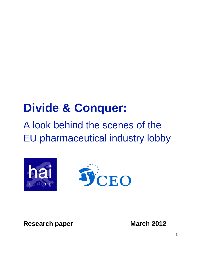# **Divide & Conquer:**

# A look behind the scenes of the EU pharmaceutical industry lobby



**Research paper March 2012**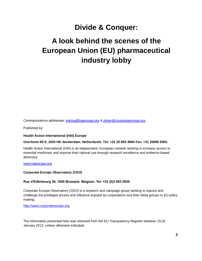## **Divide & Conquer:**

## **A look behind the scenes of the European Union (EU) pharmaceutical industry lobby**

Correspondence addresses: [katrina@haieurope.org](mailto:katrina@haieurope.org) & olivier@corporateeurope.org

Published by:

#### **Health Action International (HAI) Europe**

#### **Overtoom 60 II, 1054 HK Amsterdam. Netherlands. Tel: +31 20 683 3684 Fax: +31 20685 5002.**

Health Action International (HAI) is an independent, European network working to increase access to essential medicines and improve their rational use through research excellence and evidence-based advocacy.

[www.haieurope.org](http://www.haieurope.org/)

#### **Corporate Europe Observatory (CEO)**

#### **Rue d'Edimbourg 26, 1050 Brussels. Belgium. Tel: +32 (0)2 893 0930**

Corporate Europe Observatory (CEO) is a research and campaign group working to expose and challenge the privileged access and influence enjoyed by corporations and their lobby groups in EU policy making.

[http://www.corporateeurope.org](http://www.corporateeurope.org/)

The information presented here was retrieved from the EU Transparency Register between 15-31 January 2012, unless otherwise indicated.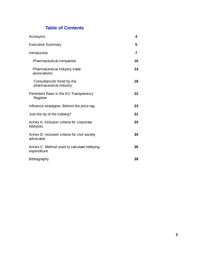## **Table of Contents**

| Acronyms                                                   | 4  |
|------------------------------------------------------------|----|
| <b>Executive Summary</b>                                   | 5  |
| Introduction                                               | 7  |
| Pharmaceutical companies                                   | 10 |
| Pharmaceutical industry trade<br>associations              | 14 |
| Consultancies hired by the<br>pharmaceutical industry      | 18 |
| Persistent flaws in the EU Transparency<br>Register        | 22 |
| Influence strategies: Behind the price tag                 | 23 |
| Just the tip of the iceberg?                               | 31 |
| Annex A: Inclusion criteria for corporate<br>lobbyists     | 33 |
| Annex B: Inclusion criteria for civil society<br>advocates | 34 |
| Annex C: Method used to calculate lobbying<br>expenditure  | 35 |
| Bibliography                                               | 39 |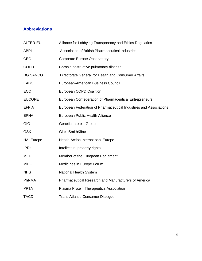## **Abbreviations**

| ALTER-EU          | Alliance for Lobbying Transparency and Ethics Regulation          |
|-------------------|-------------------------------------------------------------------|
| <b>ABPI</b>       | Association of British Pharmaceutical Industries                  |
| <b>CEO</b>        | <b>Corporate Europe Observatory</b>                               |
| <b>COPD</b>       | Chronic obstructive pulmonary disease                             |
| <b>DG SANCO</b>   | Directorate General for Health and Consumer Affairs               |
| <b>EABC</b>       | European-American Business Council                                |
| ECC               | <b>European COPD Coalition</b>                                    |
| <b>EUCOPE</b>     | European Confederation of Pharmaceutical Entrepreneurs            |
| <b>EFPIA</b>      | European Federation of Pharmaceutical Industries and Associations |
| <b>EPHA</b>       | European Public Health Alliance                                   |
| <b>GIG</b>        | <b>Genetic Interest Group</b>                                     |
| <b>GSK</b>        | GlaxoSmithKline                                                   |
| <b>HAI Europe</b> | Health Action International Europe                                |
| <b>IPRs</b>       | Intellectual property rights                                      |
| <b>MEP</b>        | Member of the European Parliament                                 |
| <b>MiEF</b>       | Medicines in Europe Forum                                         |
| <b>NHS</b>        | National Health System                                            |
| <b>PhRMA</b>      | <b>Pharmaceutical Research and Manufacturers of America</b>       |
| <b>PPTA</b>       | Plasma Protein Therapeutics Association                           |
| <b>TACD</b>       | <b>Trans-Atlantic Consumer Dialogue</b>                           |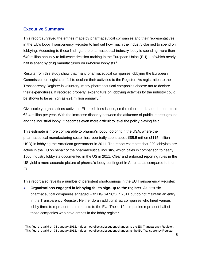## **Executive Summary**

This report surveyed the entries made by pharmaceutical companies and their representatives in the EU's lobby Transparency Register to find out how much the industry claimed to spend on lobbying. According to these findings, the pharmaceutical industry lobby is spending more than  $€40$  million annually to influence decision making in the European Union (EU) – of which nearly half is spent by drug manufacturers on in-house lobbyists.<sup>1</sup>

Results from this study show that many pharmaceutical companies lobbying the European Commission on legislation fail to declare their activities to the Register. As registration to the Transparency Register is voluntary, many pharmaceutical companies choose not to declare their expenditures. If recorded properly, expenditure on lobbying activities by the industry could be shown to be as high as  $€91$  million annually.<sup>2</sup>

Civil society organisations active on EU medicines issues, on the other hand, spend a combined €3.4 million per year. With the immense disparity between the affluence of public interest groups and the industrial lobby, it becomes even more difficult to level the policy playing field.

This estimate is more comparable to pharma's lobby footprint in the USA, where the pharmaceutical manufacturing sector has reportedly spent about €85.5 million (\$115 million USD) in lobbying the American government in 2011. The report estimates that 220 lobbyists are active in the EU on behalf of the pharmaceutical industry, which pales in comparison to nearly 1500 industry lobbyists documented in the US in 2011. Clear and enforced reporting rules in the US yield a more accurate picture of pharma's lobby contingent in America as compared to the EU.

This report also reveals a number of persistent shortcomings in the EU Transparency Register:

 **Organisations engaged in lobbying fail to sign-up to the register**. At least six pharmaceutical companies engaged with DG SANCO in 2011 but do not maintain an entry in the Transparency Register. Neither do an additional six companies who hired various lobby firms to represent their interests to the EU. These 12 companies represent half of those companies who have entries in the lobby register.

<sup>————————————————————&</sup>lt;br><sup>1</sup> This figure is valid on 31 January 2012. It does not reflect subsequent changes to the EU Transparency Register.

 $^2$  This figure is valid on 31 January 2012. It does not reflect subsequent changes as the EU Transparency Register.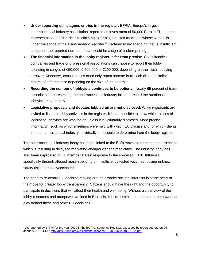- **Under-reporting still plagues entries in the register**. EFPIA, Europe's largest pharmaceutical industry association, reported an investment of 50,000 Euro in EU interest representation in 2010, despite claiming to employ ten staff members whose work falls under the scope of the Transparency Register. $3$  Declared lobby spending that is insufficient to support the reported number of staff could be a sign of underreporting.
- **The financial information in the lobby register is far from precise**. Consultancies, companies and trade or professional associations can choose to report their lobby spending in ranges of €50,000, € 100,000 or €250,000, depending on their total lobbying turnover. Moreover, consultancies need only report income from each client in similar ranges of different size depending on the size of the contract.
- **Recording the number of lobbyists continues to be optional**. Nearly 65 percent of trade associations representing the pharmaceutical industry failed to record the number of lobbyists they employ.
- **Legislative proposals and debates lobbied on are not disclosed**. While registrants are invited to list their lobby activities in the register, it is not possible to know which pieces of legislation lobbyists are working on unless it is voluntarily disclosed. More precise information, such as which meetings were held with which EU officials and for which clients in the pharmaceutical industry, is virtually impossible to determine from the lobby register.

The pharmaceutical industry lobby has been linked to the EU's move to enhance data protection which is resulting in delays to marketing cheaper generic medicines. The industry lobby has also been implicated in EU member states' response to the so-called H1N1 Influenza, specifically through alleged mass-spending on insufficiently tested vaccines, posing unknown safety risks to those vaccinated.

The need to re-centre EU decision making around broader societal interests is at the heart of the move for greater lobby transparency. Citizens should have the right and the opportunity to participate in decisions that will affect their health and well-being. Without a clear view of the lobby resources and manpower wielded in Brussels, it is impossible to understand the powers at play behind these and other EU decisions.

 $^3$  As reported by EFPIA for the year 2010 in the EU Transparency Register, accessed by report authors on 29 January 2012. URL[: http://haieurope.org/wp-content/uploads/2012/03/TR-2010-EFPIA.pdf](http://haieurope.org/wp-content/uploads/2012/03/TR-2010-EFPIA.pdf)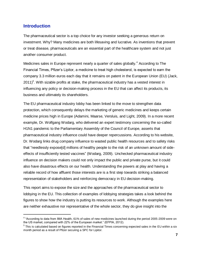## **Introduction**

l

The pharmaceutical sector is a top choice for any investor seeking a generous return on investment. Why? Many medicines are both lifesaving and lucrative. As inventions that prevent or treat disease, pharmaceuticals are an essential part of the healthcare system and not just another consumer product.

Medicines sales in Europe represent nearly a quarter of sales globally.<sup>4</sup> According to The Financial Times, Pfizer's Lipitor, a medicine to treat high cholesterol, is expected to earn the company 3.3 million euros each day that it remains on patent in the European Union (EU) (Jack,  $2011$ <sup>5</sup>. With sizable profits at stake, the pharmaceutical industry has a vested interest in influencing any policy or decision-making process in the EU that can affect its products, its business and ultimately its shareholders.

The EU pharmaceutical industry lobby has been linked to the move to strengthen data protection, which consequently delays the marketing of generic medicines and keeps certain medicine prices high in Europe (Adamini, Maarse, Versluis, and Light, 2009). In a more recent example, Dr. Wolfgang Wodarg, who delivered an expert testimony concerning the so-called H1N1 pandemic to the Parliamentary Assembly of the Council of Europe, asserts that pharmaceutical industry influence could have deeper repercussions. According to his website, Dr. Wodarg links drug company influence to wasted public health resources and to safety risks that "needlessly expose[d] millions of healthy people to the risk of an unknown amount of sideeffects of insufficiently tested vaccines" (Wodarg, 2009). Unchecked pharmaceutical industry influence on decision makers could not only impact the public and private purse, but it could also have disastrous effects on our health. Understanding the powers at play and having a reliable record of how affluent those interests are is a first step towards striking a balanced representation of stakeholders and reinforcing democracy in EU decision-making.

This report aims to expose the size and the approaches of the pharmaceutical sector to lobbying in the EU. This collection of examples of lobbying strategies takes a look behind the figures to show how the industry is putting its resources to work. Although the examples here are neither exhaustive nor representative of the whole sector, they do give insight into the

<sup>&</sup>lt;sup>4</sup> "According to data from IMA Health, 61% of sales of new medicines launched during the period 2005-2009 were on the US market, compared with 22% of the European market." (EFPIA, 2012).

 $^5$  This is calculated based on figures reported in the Financial Times concerning expected sales in the EU within a six month period as a result of Pfizer securing a SPC for Lipitor.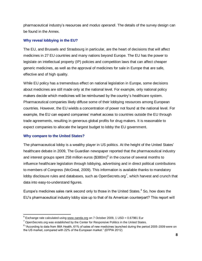pharmaceutical industry's resources and *modus operandi*. The details of the survey design can be found in the Annex.

## **Why reveal lobbying in the EU?**

The EU, and Brussels and Strasbourg in particular, are the heart of decisions that will affect medicines in 27 EU countries and many nations beyond Europe. The EU has the power to legislate on intellectual property (IP) policies and competition laws that can affect cheaper generic medicines, as well as the approval of medicines for sale in Europe that are safe, effective and of high quality.

While EU policy has a tremendous effect on national legislation in Europe, some decisions about medicines are still made only at the national level. For example, only national policy makers decide which medicines will be reimbursed by the country's healthcare system. Pharmaceutical companies likely diffuse some of their lobbying resources among European countries. However, the EU wields a concentration of power not found at the national level. For example, the EU can expand companies' market access to countries outside the EU through trade agreements, resulting in generous global profits for drug makers. It is reasonable to expect companies to allocate the largest budget to lobby the EU government.

## **Why compare to the United States?**

The pharmaceutical lobby is a wealthy player in US politics. At the height of the United States' healthcare debate in 2009, The Guardian newspaper reported that the pharmaceutical industry and interest groups spent 258 million euros  $(\$380m)^6$  in the course of several months to influence healthcare legislation through lobbying, advertising and in direct political contributions to members of Congress (McGreal, 2009). This information is available thanks to mandatory lobby disclosure rules and databases, such as OpenSecrets.org<sup>7</sup>, which harvest and crunch that data into easy-to-understand figures.

Europe's medicines sales rank second only to those in the United States.<sup>8</sup> So, how does the EU's pharmaceutical industry lobby size up to that of its American counterpart? This report will

l  $^6$  Exchange rate calculated using [www.oanda.org](http://www.oanda.org/) on 7 October 2009, 1 USD = 0.67981 Eur

 $7$  OpenSecrets.org was established by the Center for Responsive Politics in the United States.

 $^8$  "According to data from IMA Health, 61% of sales of new medicines launched during the period 2005-2009 were on the US market, compared with 22% of the European market." (EFPIA 2012)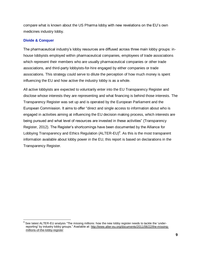compare what is known about the US Pharma lobby with new revelations on the EU's own medicines industry lobby.

### **Divide & Conquer**

 $\overline{\phantom{a}}$ 

The pharmaceutical industry's lobby resources are diffused across three main lobby groups: inhouse lobbyists employed within pharmaceutical companies, employees of trade associations which represent their members who are usually pharmaceutical companies or other trade associations, and third-party lobbyists-for-hire engaged by either companies or trade associations. This strategy could serve to dilute the perception of how much money is spent influencing the EU and how active the industry lobby is as a whole.

All active lobbyists are expected to voluntarily enter into the EU Transparency Register and disclose whose interests they are representing and what financing is behind those interests. The Transparency Register was set up and is operated by the European Parliament and the European Commission. It aims to offer "direct and single access to information about who is engaged in activities aiming at influencing the EU decision making process, which interests are being pursued and what level of resources are invested in these activities" (Transparency Register, 2012). The Register's shortcomings have been documented by the Alliance for Lobbying Transparency and Ethics Regulation (ALTER-EU)<sup>9</sup>. As this is the most transparent information available about lobby power in the EU, this report is based on declarations in the Transparency Register.

<sup>9</sup> See latest ALTER-EU analysis "The missing millions: how the new lobby register needs to tackle the 'underreporting' by industry lobby groups." Available at: [http://www.alter-eu.org/documents/2011/06/22/the-missing](http://www.alter-eu.org/documents/2011/06/22/the-missing-millions-of-the-lobby-register)[millions-of-the-lobby-register](http://www.alter-eu.org/documents/2011/06/22/the-missing-millions-of-the-lobby-register)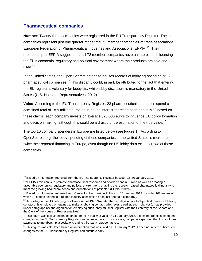## **Pharmaceutical companies**

 $\overline{a}$ 

**Number:** Twenty-three companies were registered in the EU Transparency Register. These companies represent just one quarter of the total 72 member companies of trade associations European Federation of Pharmaceutical Industries and Associations (EFPIA)<sup>10</sup>. Their membership of EFPIA suggests that all 72 member companies have an interest in influencing the EU's economic, regulatory and political environment where their products are sold and used.<sup>11</sup>

In the United States, the Open Secrets database houses records of lobbying spending of 92 pharmaceutical companies.<sup>12</sup> This disparity could, in part, be attributed to the fact that entering the EU register is voluntary for lobbyists, while lobby disclosure is mandatory in the United States (U.S. House of Representatives, 2012).<sup>13</sup>

**Value**: According to the EU Transparency Register, 23 pharmaceutical companies spend a combined total of 18.9 million euros on in-house interest representation annually.<sup>14</sup> Based on these claims, each company invests on average 820,000 euros to influence EU policy formation and decision making, although this could be a drastic underestimation of the true value.<sup>15</sup>

The top 10 company spenders in Europe are listed below (see Figure 1). According to OpenSecrets.org, the lobby spending of these companies in the United States is more than twice their reported financing in Europe, even though no US lobby data exists for two of those companies.

 $^{10}$  Based on information retrieved from the EU Transparency Register between 15-30 January 2012

 $11$  "EFPIA's mission is to promote pharmaceutical research and development in Europe as well as creating a favourable economic, regulatory and political environment, enabling the research-based pharmaceutical industry to meet the growing healthcare needs and expectations of patients." (EFPIA, 2012b)

<sup>&</sup>lt;sup>12</sup> Based on information retrieved from Center for Responsible Politics on 15 January 2012. Includes 108 entries of which 10 entries belong to a related industry association or council (not to a company).

 $13$  According to the US Lobbying Disclosure Act of 1995 "No later than 45 days after a lobbyist first makes a lobbying contact or is employed or retained to make a lobbying contact, whichever is earlier, such lobbyist (or, as provided under paragraph (2), the organization employing such lobbyist), shall register with the Secretary of the Senate and the Clerk of the House of Representatives"

 $14$  This figure was calculated based on information that was valid on 31 January 2012. It does not reflect subsequent changes as the EU Transparency Register can fluctuate daily. In most cases, companies specified that this excludes payments to membership associations and to third party representatives.

 $15$  This figure was calculated based on information that was valid on 31 January 2012. It does not reflect subsequent changes as the EU Transparency Register can fluctuate daily.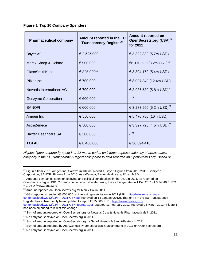|  |  | <b>Figure 1. Top 10 Company Spenders</b> |  |
|--|--|------------------------------------------|--|
|  |  |                                          |  |

| <b>Pharmaceutical company</b> | Amount reported in the EU<br>Transparency Register <sup>16</sup> | Amount reported on<br>OpenSecrets.org (USA) <sup>17</sup><br>for 2011 |  |
|-------------------------------|------------------------------------------------------------------|-----------------------------------------------------------------------|--|
| <b>Bayer AG</b>               | € 2,525,000                                                      | € 3,322,880 (5.7m USD)                                                |  |
| Merck Sharp & Dohme           | € 900,000                                                        | €6,170,530 (8.2m USD) <sup>18</sup>                                   |  |
| GlaxoSmithKline               | € 825,000 <sup>19</sup>                                          | € 3,304,170 (5.4m USD)                                                |  |
| Pfizer Inc.                   | € 700,000                                                        | € 8,007,840 (12.4m USD)                                               |  |
| Novartis International AG     | € 700,000                                                        | € 3,936,530 (5.8m USD) <sup>20</sup>                                  |  |
| <b>Genzyme Corporation</b>    | € 600,000                                                        | $-21$                                                                 |  |
| <b>SANOFI</b>                 | € 600,000                                                        | € 3,283,960 (5.2m USD) <sup>22</sup>                                  |  |
| Amgen Inc                     | € 550,000                                                        | € 5,470,780 (10m USD)                                                 |  |
| AstraZeneca                   | € 500,000                                                        | € 3,397,720 (4.5m USD) <sup>23</sup>                                  |  |
| <b>Baxter Healthcare SA</b>   | € 500,000                                                        | $-24$                                                                 |  |
| <b>TOTAL</b>                  | € 8,400,000                                                      | € 36,894,410                                                          |  |

*Highest figures reportedly spent in a 12-month period on interest representation by pharmaceutical company in the EU Transparency Register compared to data reported on OpenSecrets.org. Based on* 

l

<sup>&</sup>lt;sup>16</sup> Figures from 2011: Amgen Inc, GalaxoSmithKline, Novartis, Bayer; Figures from 2010-2011: Genzyme Corporation, SANOFI; Figures from 2010: AstraZeneca, Baxter Healthcare, Pfizer, MSD

<sup>&</sup>lt;sup>17</sup> Amounts companies spent on lobbying and political contributions in the USA in 2011, as reported on OpenSecrets.org in USD. Currency conversion calculated using the exchange rate on 1 Dec 2011 of 0.74840 EURO

<sup>= 1</sup> USD (www.oanda.org)

<sup>18</sup> Amount reported on OpenSecrets.org for Merck Co. in 2011.

<sup>&</sup>lt;sup>19</sup> GSK reported spending €8,000,000 on interest representation in 2011 (URL[: http://haieurope.org/wp](http://haieurope.org/wp-content/uploads/2012/03/TR-2011-GSK.pdf)[content/uploads/2012/03/TR-2011-GSK.pdf](http://haieurope.org/wp-content/uploads/2012/03/TR-2011-GSK.pdf) retrieved on 18 January 2012). That entry in the EU Transparency Register has subsequently been updated to report €825,000 (URL[: http://haieurope.org/wp](http://haieurope.org/wp-content/uploads/2012/03/TR-2011-GSK_february.pdf)[content/uploads/2012/03/TR-2011-GSK\\_february.pdf](http://haieurope.org/wp-content/uploads/2012/03/TR-2011-GSK_february.pdf) updated 13 February 2012, retrieved 28 March 2012). Figure 1 has been amended to reflect this change.

<sup>&</sup>lt;sup>20</sup> Sum of amount reported on OpenSecrets.org for Novartis Corp & Novartis Pharmaceuticals in 2011

 $21$  No entry for Genzyme on OpenSecrets.org in 2011

 $22$  Sum of amount reported on OpenSecrets.org for Sanofi Aventis & Sanofi-Pasteur in 2011

<sup>&</sup>lt;sup>23</sup> Sum of amount reported by AstraZeneca Pharmaceuticals & MedImmune in 2011 on OpenSecrets.org

 $24$  No entry for Genzyme on OpenSecrets.org in 2011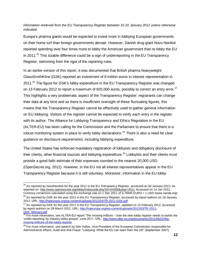#### *information retrieved from the EU Transparency Register between 15-31 January 2012 unless otherwise indicated.*

Europe's pharma giants would be expected to invest more in lobbying European governments on their home turf than foreign governments abroad. However, Danish drug giant Novo Nordisk reported spending over four times more to lobby the American government than to lobby the EU in 2011.<sup>25</sup> This sizable difference could be a sign of underreporting in the EU Transparency Register, stemming from the rigor of the reporting rules.

In an earlier version of this report, it was documented that British pharma heavyweight GlaxoSmithKline (GSK) reported an investment of 8 million euros in interest representation in  $2011<sup>26</sup>$  The figure for GSK's lobby expenditure in the EU Transparency Register was changed on 13 February 2012 to report a maximum of 825,000 euros, possibly to correct an entry error.<sup>27</sup> This highlights a very problematic aspect of the Transparency Register: registrants can change their data at any time and as there is insufficient oversight of these fluctuating figures, this means that the Transparency Register cannot be effectively used to gather general information on EU lobbying. Visitors of the register cannot be expected to verify each entry in the register with its author. The Alliance for Lobbying Transparency and Ethics Regulation in the EU (ALTER-EU) has been calling for the Commission and the Parliament to ensure that there is a robust monitoring system in place to verify lobby declarations.<sup>28</sup> There is also a need for clear guidance on disclosure requirements, including lobbying expenditure.

The United States has enforced mandatory registration of lobbyists and obligatory disclosure of their clients, other financial sources and lobbying expenditure.<sup>29</sup> Lobbyists and their clients must provide a good-faith estimate of their expenses rounded to the nearest 20,000 USD (OpenSecret.org, 2012). However, in the EU not all interest representatives appear in the EU Transparency Register because it is still voluntary. Moreover, information in the EU lobby

 $^{25}$  As reported by NovoNordisk for the year 2011 in the EU Transparecy Register, accessed on 30 January 2012; As reported on <http://www.opensecrets.org/lobby/induscode.php?id=H4300&year=2011> Accessed on 14 Jan 2012. Currency conversion calculated using the exchange rate on 1 Dec 2011 of 0.74840 EURO = 1 USD (www.oanda.org)  $^{26}$  As reported by GSK for the year 2011 in the EU Transparency Register, accessed by report authors on 18 January 2012. URL:<http://haieurope.org/wp-content/uploads/2012/03/TR-2011-GSK.pdf>

<sup>&</sup>lt;sup>27</sup> As reported by GSK for the year 2011 in the EU Transparency Register, updated on 13 February 2012, accessed by report authors on 28 March 2012. URL: [http://haieurope.org/wp-content/uploads/2012/03/TR-2011-](http://haieurope.org/wp-content/uploads/2012/03/TR-2011-GSK_february.pdf) [GSK\\_february.pdf](http://haieurope.org/wp-content/uploads/2012/03/TR-2011-GSK_february.pdf)

 $28$  For more information, see ALTER-EU report "The missing millions  $-$  how the new lobby register needs to tackle the 'under-reporting' by industry lobby groups" June 2011, URL: [http://www.alter-eu.org/documents/2011/06/22/the](http://www.alter-eu.org/documents/2011/06/22/the-missing-millions-of-the-lobby-register)[missing-millions-of-the-lobby-register](http://www.alter-eu.org/documents/2011/06/22/the-missing-millions-of-the-lobby-register)

<sup>&</sup>lt;sup>29</sup> For more information, see speech by Siim Kallas, Vice-President of the European Commission responsible for Administrative Affairs, Audit and Anti-Fraud: "Lobbying: What the EU can learn from the US" (September 2007)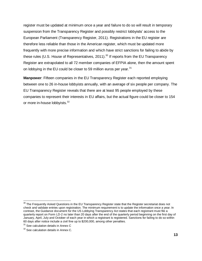register must be updated at minimum once a year and failure to do so will result in temporary suspension from the Transparency Register and possibly restrict lobbyists' access to the European Parliament (Transparency Register, 2011). Registrations in the EU register are therefore less reliable than those in the American register, which must be updated more frequently with more precise information and which have strict sanctions for failing to abide by these rules (U.S. House of Representatives, 2011).<sup>30</sup> If reports from the EU Transparency Register are extrapolated to all 72 member companies of EFPIA alone, then the amount spent on lobbying in the EU could be closer to 59 million euros per year. $31$ 

**Manpower**: Fifteen companies in the EU Transparency Register each reported employing between one to 26 in-house lobbyists annually, with an average of six people per company. The EU Transparency Register reveals that there are at least 95 people employed by these companies to represent their interests in EU affairs, but the actual figure could be closer to 154 or more in-house lobbyists.<sup>32</sup>

 $\overline{a}$  $^{30}$  The Frequently Asked Questions in the EU Transparency Register state that the Register secretariat does not check and validate entries upon registration. The minimum requirement is to update the information once a year. In contrast, the Guidance document for the US Lobbying Transparency Act states that each registrant must file a quarterly report on Form LD-2 no later than 20 days after the end of the quarterly period beginning on the first day of January, April, July and October of each year in which a registrant is registered. Sanctions for failing to do so within 60 days after notice include a civil fine up to \$200,000, among other penalties.

<sup>&</sup>lt;sup>31</sup> See calculation details in Annex C

<sup>&</sup>lt;sup>32</sup> See calculation details in Annex C.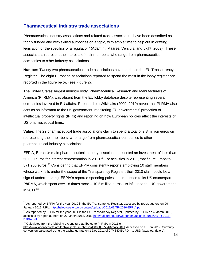## **Pharmaceutical industry trade associations**

Pharmaceutical industry associations and related trade associations have been described as "richly funded and with skilled authorities on a topic, with ample time to help out in drafting legislation or the specifics of a regulation" (Adamini, Maarse, Versluis, and Light, 2009). These associations represent the interests of their members, who range from pharmaceutical companies to other industry associations.

**Number:** Twenty-two pharmaceutical trade associations have entries in the EU Transparency Register. The eight European associations reported to spend the most in the lobby register are reported in the figure below (see Figure 2).

The United States' largest industry body, Pharmaceutical Research and Manufacturers of America (PhRMA), was absent from the EU lobby database despite representing several companies involved in EU affairs. Records from Wikileaks (2009, 2010) reveal that PhRMA also acts as an informant to the US government, monitoring EU governments' protection of intellectual property rights (IPRs) and reporting on how European policies affect the interests of US pharmaceutical firms.

**Value**: The 22 pharmaceutical trade associations claim to spend a total of 2.3 million euros on representing their members, who range from pharmaceutical companies to other pharmaceutical industry associations.

EFPIA, Europe's main pharmaceutical industry association, reported an investment of less than 50,000 euros for interest representation in 2010.<sup>33</sup> For activities in 2011, that figure jumps to 571,900 euros.<sup>34</sup> Considering that EFPIA consistently reports employing 10 staff members whose work falls under the scope of the Transparency Register, their 2010 claim could be a sign of underreporting. EFPIA's reported spending pales in comparison to its US counterpart, PhRMA, which spent over 18 times more – 10.5 million euros - to influence the US government in 2011.<sup>35</sup>

 $35$  Calculated from the lobbying expenditure attributed to PhRMA in 2011 on <http://www.opensecrets.org/lobby/clientsum.php?id=D000000504&year=2011> Accessed on 15 Jan 2012. Currency conversion calculated using the exchange rate on 1 Dec 2011 of 0.74840 EURO = 1 USD [\(www.oanda.org\)](http://www.oanda.org/).

 $\overline{a}$  $33$  As reported by EFPIA for the year 2010 in the EU Transparency Register, accessed by report authors on 29 January 2012. URL[: http://haieurope.org/wp-content/uploads/2012/03/TR-2010-EFPIA.pdf](http://haieurope.org/wp-content/uploads/2012/03/TR-2010-EFPIA.pdf)

<sup>&</sup>lt;sup>34</sup> As reported by EFPIA for the year 2011 in the EU Transparency Register, updated by EFPIA on 4 March 2012, accessed by report authors on 27 March 2012. URL[: http://haieurope.org/wp-content/uploads/2012/03/TR-2011-](http://haieurope.org/wp-content/uploads/2012/03/TR-2011-EFPIA.pdf) [EFPIA.pdf](http://haieurope.org/wp-content/uploads/2012/03/TR-2011-EFPIA.pdf)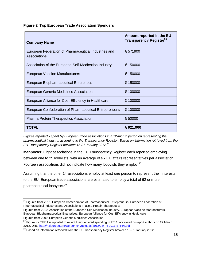**Figure 2. Top European Trade Association Spenders**

| <b>Company Name</b>                                                  | Amount reported in the EU<br>Transparency Register <sup>36</sup> |
|----------------------------------------------------------------------|------------------------------------------------------------------|
| European Federation of Pharmaceutical Industries and<br>Associations | € 571900                                                         |
| Association of the European Self-Medication Industry                 | € 150000                                                         |
| European Vaccine Manufacturers                                       | € 150000                                                         |
| <b>European Biopharmaceutical Enterprises</b>                        | € 150000                                                         |
| European Generic Medicines Association                               | € 100000                                                         |
| European Alliance for Cost Efficiency in Healthcare                  | € 100000                                                         |
| European Confederation of Pharmaceutical Entrepreneurs               | € 100000                                                         |
| Plasma Protein Therapeutics Association                              | € 50000                                                          |
| <b>TOTAL</b>                                                         | € 921,900                                                        |

*Figures reportedly spent by European trade associations in a 12-month period on representing the pharmaceutical industry, according to the Transparency Register. Based on information retrieved from the EU Transparency Register between 15-31 January 2012.<sup>37</sup>*

**Manpower**: Eight associations in the EU Transparency Register each reported employing between one to 25 lobbyists, with an average of six EU affairs representatives per association. Fourteen associations did not indicate how many lobbyists they employ.<sup>38</sup>

Assuming that the other 14 associations employ at least one person to represent their interests to the EU, European trade associations are estimated to employ a total of 62 or more pharmaceutical lobbyists.<sup>39</sup>

Figures from 2010: Association of the European Self-Medication Industry, European Vaccine Manufacturers, European Biopharmaceutical Enterprises, European Alliance for Cost Efficiency in Healthcare

Figures from 2009: European Generic Medicines Association

 $\overline{\phantom{a}}$  $36$  Figures from 2011: European Confederation of Pharmaceutical Entrepreneurs, European Federation of Pharmaceutical Industries and Associations, Plasma Protein Therapeutics

 $37$  Figure for EFPIA is updated to reflect their declared spending in 2011, accessed by report authors on 27 March 2012. URL:<http://haieurope.org/wp-content/uploads/2012/03/TR-2011-EFPIA.pdf>

<sup>&</sup>lt;sup>38</sup> Based on information retrieved from the EU Transparency Register between 15-31 January 2012.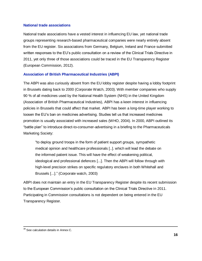### **National trade associations**

National trade associations have a vested interest in influencing EU law, yet national trade groups representing research-based pharmaceutical companies were nearly entirely absent from the EU register. Six associations from Germany, Belgium, Ireland and France submitted written responses to the EU's public consultation on a review of the Clinical Trials Directive in 2011, yet only three of those associations could be traced in the EU Transparency Register (European Commission, 2012).

## **Association of British Pharmaceutical Industries (ABPI)**

The ABPI was also curiously absent from the EU lobby register despite having a lobby footprint in Brussels dating back to 2000 (Corporate Watch, 2003). With member companies who supply 90 % of all medicines used by the National Health System (NHS) in the United Kingdom (Association of British Pharmaceutical Industries), ABPI has a keen interest in influencing policies in Brussels that could affect that market. ABPI has been a long-time player working to loosen the EU's ban on medicines advertising. Studies tell us that increased medicines promotion is usually associated with increased sales (WHO, 2004). In 2000, ABPI outlined its "battle plan" to introduce direct-to-consumer-advertising in a briefing to the Pharmaceuticals Marketing Society:

"to deploy ground troops in the form of patient support groups, sympathetic medical opinion and healthcare professionals [..]. which will lead the debate on the informed patient issue. This will have the effect of weakening political, ideological and professional defences [...]. Then the ABPI will follow through with high-level precision strikes on specific regulatory enclaves in both Whitehall and Brussels [...]." (Corporate watch, 2003)

ABPI does not maintain an entry in the EU Transparency Register despite its recent submission to the European Commission's public consultation on the Clinical Trials Directive in 2011. Participating in Commission consultations is not dependent on being entered in the EU Transparency Register.

 $\overline{\phantom{a}}$  $39$  See calculation details in Annex C.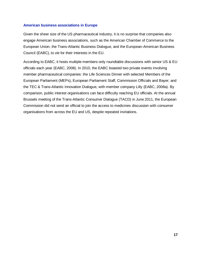#### **American business associations in Europe**

Given the sheer size of the US pharmaceutical industry, it is no surprise that companies also engage American business associations, such as the American Chamber of Commerce to the European Union, the Trans-Atlantic Business Dialogue, and the European-American Business Council (EABC), to vie for their interests in the EU.

According to EABC, it hosts multiple members-only roundtable discussions with senior US & EU officials each year (EABC, 2008). In 2010, the EABC boasted two private events involving member pharmaceutical companies: the Life Sciences Dinner with selected Members of the European Parliament (MEPs), European Parliament Staff, Commission Officials and Bayer; and the TEC & Trans-Atlantic Innovation Dialogue, with member company Lilly (EABC, 2008a). By comparison, public interest organisations can face difficulty reaching EU officials. At the annual Brussels meeting of the Trans-Atlantic Consumer Dialogue (TACD) in June 2011, the European Commission did not send an official to join the access to medicines discussion with consumer organisations from across the EU and US, despite repeated invitations.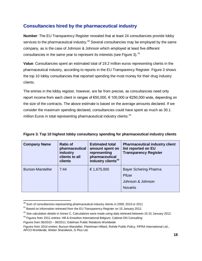## **Consultancies hired by the pharmaceutical industry**

**Number**: The EU Transparency Register revealed that at least 24 consultancies provide lobby services to the pharmaceutical industry.<sup>40</sup> Several consultancies may be employed by the same company, as is the case of Johnson & Johnson which employed at least five different consultancies in the same year to represent its interests (see Figure 3).<sup>41</sup>

**Value**: Consultancies spent an estimated total of 19.2 million euros representing clients in the pharmaceutical industry, according to reports in the EU Transparency Register. Figure 3 shows the top 10 lobby consultancies that reported spending the most money for their drug industry clients.

The entries in the lobby register, however, are far from precise, as consultancies need only report income from each client in ranges of €50,000, € 100,000 or €250,000 wide, depending on the size of the contracts. The above estimate is based on the average amounts declared. If we consider the maximum spending declared, consultancies could have spent as much as 30.1 million Euros in total representing pharmaceutical industry clients.<sup>42</sup>

| <b>Company Name</b>      | <b>Ratio of</b><br>pharmaceutical<br>industry<br>clients to all<br>clients | <b>Estimated total</b><br>amount spent on<br>representing<br>pharmaceutical<br>industry clients <sup>43</sup> | <b>Pharmaceutical industry client</b><br>list reported on EU<br><b>Transparency Register</b> |
|--------------------------|----------------------------------------------------------------------------|---------------------------------------------------------------------------------------------------------------|----------------------------------------------------------------------------------------------|
| <b>Burson-Marsteller</b> | 7:44                                                                       | € 1,675,000                                                                                                   | Bayer Schering Pharma<br>Pfizer<br>Johnson & Johnson<br><b>Novartis</b>                      |

## **Figure 3. Top 10 highest lobby consultancy spending for pharmaceutical industry clients**

 $\overline{a}$  $40$  Sum of consultancies representing pharmaceutical industry clients in 2009, 2010 or 2011

 $41$  Based on information retrieved from the EU Transparency Register on 15 January 2012.

 $42$  See calculation details in Annex C. Calculations were made using data retrieved between 15-31 January 2012.

<sup>&</sup>lt;sup>43</sup> Figures from 2011 entries: Hill & Knowlton International Belgium, Cabinet DN Consulting

Figures from 06/2010 – 06/2011: Edelman Public Relations Worldwide

Figures from 2010 entries: Burson-Marsteller, Fleishman-Hillard, Rohde Public Policy, FIPRA International Ltd., APCO Worldwide, Weber Shandwick, G Plus Ltd.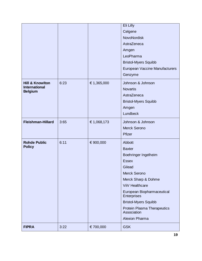|                                        |      |             | Eli Lilly                                  |
|----------------------------------------|------|-------------|--------------------------------------------|
|                                        |      |             | Celgene                                    |
|                                        |      |             | NovoNordisk                                |
|                                        |      |             | AstraZeneca                                |
|                                        |      |             | Amgen                                      |
|                                        |      |             | LeoPharma                                  |
|                                        |      |             | <b>Bristol-Myers Squibb</b>                |
|                                        |      |             | European Vaccine Manufacturers             |
|                                        |      |             | Genzyme                                    |
| <b>Hill &amp; Knowlton</b>             | 6:23 | € 1,365,000 | Johnson & Johnson                          |
| <b>International</b><br><b>Belgium</b> |      |             | <b>Novartis</b>                            |
|                                        |      |             | AstraZeneca                                |
|                                        |      |             | <b>Bristol-Myers Squibb</b>                |
|                                        |      |             | Amgen                                      |
|                                        |      |             | Lundbeck                                   |
| <b>Fleishman-Hillard</b>               | 3:65 | € 1,068,173 | Johnson & Johnson                          |
|                                        |      |             | <b>Merck Serono</b>                        |
|                                        |      |             | Pfizer                                     |
| <b>Rohde Public</b>                    | 6:11 | € 900,000   | Abbott                                     |
| <b>Policy</b>                          |      |             | <b>Baxter</b>                              |
|                                        |      |             | Boehringer Ingelheim                       |
|                                        |      |             | <b>Essex</b>                               |
|                                        |      |             | Gilead                                     |
|                                        |      |             | <b>Merck Serono</b>                        |
|                                        |      |             | Merck Sharp & Dohme                        |
|                                        |      |             | ViiV Healthcare                            |
|                                        |      |             | European Biopharmaceutical<br>Enterprises  |
|                                        |      |             | <b>Bristol-Myers Squibb</b>                |
|                                        |      |             | Protein Plasma Therapeutics<br>Association |
|                                        |      |             | <b>Alexion Pharma</b>                      |
| <b>FIPRA</b>                           | 3:22 | € 700,000   | <b>GSK</b>                                 |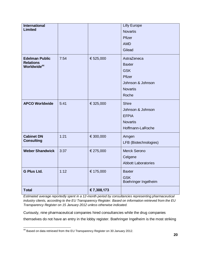| <b>International</b><br><b>Limited</b>                               |      |             | <b>Lilly Europe</b><br><b>Novartis</b><br>Pfizer<br><b>AMD</b><br>Gilead                              |
|----------------------------------------------------------------------|------|-------------|-------------------------------------------------------------------------------------------------------|
| <b>Edelman Public</b><br><b>Relations</b><br>Worldwide <sup>44</sup> | 7:54 | € 525,000   | AstraZeneca<br><b>Baxter</b><br><b>GSK</b><br>Pfizer<br>Johnson & Johnson<br><b>Novartis</b><br>Roche |
| <b>APCO Worldwide</b>                                                | 5:41 | € 325,000   | <b>Shire</b><br>Johnson & Johnson<br><b>EFPIA</b><br><b>Novartis</b><br>Hoffmann-LaRoche              |
| <b>Cabinet DN</b><br><b>Consulting</b>                               | 1:21 | € 300,000   | Amgen<br>LFB (Biotechnologies)                                                                        |
| <b>Weber Shandwick</b>                                               | 3:37 | € 275,000   | Merck Serono<br>Celgene<br><b>Abbott Laboratories</b>                                                 |
| <b>G Plus Ltd.</b>                                                   | 1:12 | € 175,000   | <b>Baxter</b><br><b>GSK</b><br>Boehringer Ingelheim                                                   |
| <b>Total</b>                                                         |      | € 7,308,173 |                                                                                                       |

*Estimated average reportedly spent in a 12-month period by consultancies representing pharmaceutical industry clients, according to the EU Transparency Register. Based on information retrieved from the EU Transparency Register on 15 January 2012 unless otherwise indicated.*

Curiously, nine pharmaceutical companies hired consultancies while the drug companies themselves do not have an entry in the lobby register. Boehringer Ingelheim is the most striking

 $\overline{a}$  $^{44}$  Based on data retrieved from the EU Transparency Register on 30 January 2012.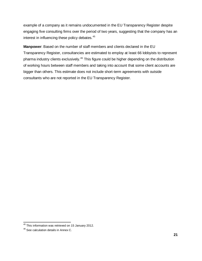example of a company as it remains undocumented in the EU Transparency Register despite engaging five consulting firms over the period of two years, suggesting that the company has an interest in influencing these policy debates.<sup>45</sup>

**Manpower**: Based on the number of staff members and clients declared in the EU Transparency Register, consultancies are estimated to employ at least 66 lobbyists to represent pharma industry clients exclusively.<sup>46</sup> This figure could be higher depending on the distribution of working hours between staff members and taking into account that some client accounts are bigger than others. This estimate does not include short-term agreements with outside consultants who are not reported in the EU Transparency Register.

<sup>&</sup>lt;sup>45</sup> This information was retrieved on 15 January 2012.

<sup>46</sup> See calculation details in Annex C.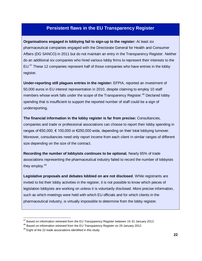## **Persistent flaws in the EU Transparency Register**

**Organisations engaged in lobbying fail to sign-up to the register:** At least six pharmaceutical companies engaged with the Directorate General for Health and Consumer Affairs (DG SANCO) in 2011 but do not maintain an entry in the Transparency Register. Neither do an additional six companies who hired various lobby firms to represent their interests to the EU.<sup>47</sup> These 12 companies represent half of those companies who have entries in the lobby register.

**Under-reporting still plagues entries in the register:** EFPIA, reported an investment of 50,000 euros in EU interest representation in 2010, despite claiming to employ 10 staff members whose work falls under the scope of the Transparency Register.<sup>48</sup> Declared lobby spending that is insufficient to support the reported number of staff could be a sign of underreporting.

**The financial information in the lobby register is far from precise:** Consultancies, companies and trade or professional associations can choose to report their lobby spending in ranges of €50,000, € 100,000 or €250,000 wide, depending on their total lobbying turnover. Moreover, consultancies need only report income from each client in similar ranges of different size depending on the size of the contract.

**Recording the number of lobbyists continues to be optional.** Nearly 65% of trade associations representing the pharmaceutical industry failed to record the number of lobbyists they employ.<sup>49</sup>

**Legislative proposals and debates lobbied on are not disclosed**. While registrants are invited to list their lobby activities in the register, it is not possible to know which pieces of legislation lobbyists are working on unless it is voluntarily disclosed. More precise information, such as which meetings were held with which EU officials and for which clients in the pharmaceutical industry, is virtually impossible to determine from the lobby register.

 $47$  Based on information retrieved from the EU Transparency Register between 15-31 January 2012.

<sup>&</sup>lt;sup>48</sup> Based on information retrieved from the EU Transparency Register on 29 January 2012.

 $49$  Eight of the 22 trade associations identified in this study.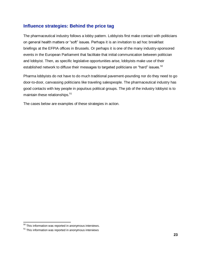## **Influence strategies: Behind the price tag**

The pharmaceutical industry follows a lobby pattern. Lobbyists first make contact with politicians on general health matters or "soft" issues. Perhaps it is an invitation to ad hoc breakfast briefings at the EFPIA offices in Brussels. Or perhaps it is one of the many industry-sponsored events in the European Parliament that facilitate that initial communication between politician and lobbyist. Then, as specific legislative opportunities arise, lobbyists make use of their established network to diffuse their messages to targeted politicians on "hard" issues.<sup>50</sup>

Pharma lobbyists do not have to do much traditional pavement-pounding nor do they need to go door-to-door, canvassing politicians like traveling salespeople. The pharmaceutical industry has good contacts with key people in populous political groups. The job of the industry lobbyist is to maintain these relationships.<sup>51</sup>

The cases below are examples of these strategies in action.

 $50$  This information was reported in anonymous interviews.

<sup>&</sup>lt;sup>51</sup> This information was reported in anonymous interviews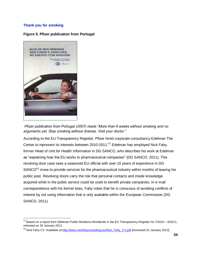## **Thank you for smoking**

### **Figure 5. Pfizer publication from Portugal**



 $\overline{a}$ 

*Pfizer publication from Portugal (2007) reads "More than 6 weeks without smoking and no arguments yet. Stop smoking without dramas. Visit your doctor."* 

According to the EU Transparency Register, Pfizer hired corporate consultancy Edelman The Center to represent its interests between 2010-2011.<sup>52</sup> Edelman has employed Nick Fahy, former Head of Unit for Health Information in DG SANCO, who describes his work at Edelman as "explaining how the EU works to pharmaceutical companies" (DG SANCO, 2011). This revolving door case sees a seasoned EU official with over 10 years of experience in DG SANCO<sup>53</sup> move to provide services for the pharmaceutical industry within months of leaving his public post. Revolving doors carry the risk that personal contacts and inside knowledge acquired while in the public service could be used to benefit private companies. In e-mail correspondence with his former boss, Fahy notes that he is conscious of avoiding conflicts of interest by not using information that is only available within the European Commission (DG SANCO, 2011).

 $^{52}$  Based on a report from Edelman Public Relations Worldwide in the EU Transparency Register for 7/2010 – 6/2011, retrieved on 30 January 2012.

<sup>53</sup> Nick Fahy CV. Available at[:http://www.nickfahyconsulting.eu/Nick\\_Fahy\\_CV.pdf](http://www.nickfahyconsulting.eu/Nick_Fahy_CV.pdf) [Accessed 31 January 2012]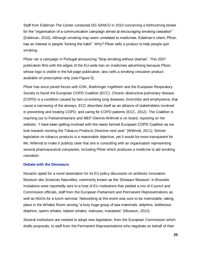Staff from Edelman The Center contacted DG SANCO in 2010 concerning a forthcoming tender for the "organisation of a communication campaign aimed at encouraging smoking cessation" (Edelman, 2010). Although smoking may seem unrelated to medicines, Edelman's client, Pfizer, has an interest in people "kicking the habit". Why? Pfizer sells a product to help people quit smoking.

Pfizer ran a campaign in Portugal announcing "Stop smoking without dramas". This 2007 publication flirts with the edges of the EU-wide ban on medicines advertising because Pfizer, whose logo is visible in the full-page publication, also sells a smoking cessation product available on prescription only (see Figure 5).

Pfizer has since joined forces with GSK, Boehringer Ingelheim and the European Respiratory Society to found the European COPD Coalition (ECC). Chronic obstructive pulmonary disease (COPD) is a condition caused by two co-existing lung diseases, bronchitis and emphysema, that cause a narrowing of the airways. ECC describes itself as an alliance of stakeholders involved in preventing and treating COPD, and caring for COPD patients (ECC, 2012). The Coalition is reaching out to Parliamentarians and MEP Glennis Willmott is on board, reporting on her website, "I have been getting involved with the newly formed European COPD Coalition as we look towards revising the Tobacco Products Directive next year" (Willmott, 2011). Stricter legislation on tobacco products is a reasonable objective, yet it would be more transparent for Ms. Willmott to make it publicly clear that she is consulting with an organisation representing several pharmaceutical companies, including Pfizer which produces a medicine to aid smoking cessation.

#### **Debate with the Dinosaurs**

Novartis opted for a novel destination for its EU policy discussion on antibiotic innovation: Museum des Sciences Naturelles, commonly known as the 'Dinosaur Museum' in Brussels. Invitations were reportedly sent to a host of EU institutions that yielded a mix of Council and Commission officials, staff from the European Parliament and Permanent Representations as well as NGOs for a lunch seminar. Networking at this event was sure to be memorable, taking place in the Whales Room among "a truly huge group of sea mammals: dolphins, bottlenose dolphins, sperm whales, baleen whales, walruses, manatees" (Museum, 2012).

Several institutions are needed to adopt new legislation, from the European Commission which drafts proposals, to staff from the Permanent Representations who negotiate on behalf of their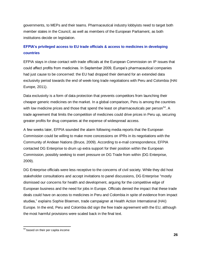governments, to MEPs and their teams. Pharmaceutical industry lobbyists need to target both member states in the Council, as well as members of the European Parliament, as both institutions decide on legislation.

## **EFPIA's privileged access to EU trade officials & access to medicines in developing countries**

EFPIA stays in close contact with trade officials at the European Commission on IP issues that could affect profits from medicines. In September 2009, Europe's pharmaceutical companies had just cause to be concerned: the EU had dropped their demand for an extended data exclusivity period towards the end of week-long trade negotiations with Peru and Colombia (HAI Europe, 2011).

Data exclusivity is a form of data protection that prevents competitors from launching their cheaper generic medicines on the market. In a global comparison, Peru is among the countries with low medicine prices and those that spend the least on pharmaceuticals per person<sup>54</sup>. A trade agreement that limits the competition of medicines could drive prices in Peru up, securing greater profits for drug companies at the expense of widespread access.

A few weeks later, EFPIA sounded the alarm following media reports that the European Commission could be willing to make more concessions on IPRs in its negotiations with the Community of Andean Nations (Bruce, 2009). According to e-mail correspondence, EFPIA contacted DG Enterprise to drum up extra support for their position within the European Commission, possibly seeking to exert pressure on DG Trade from within (DG Enterprise, 2009).

DG Enterprise officials were less receptive to the concerns of civil society. While they did host stakeholder consultations and accept invitations to panel discussions, DG Enterprise "mostly dismissed our concerns for health and development, arguing for the competitive edge of European business and the need for jobs in Europe. Officials denied the impact that these trade deals could have on access to medicines in Peru and Colombia in spite of evidence from impact studies," explains Sophie Bloemen, trade campaigner at Health Action International (HAI) Europe. In the end, Peru and Colombia did sign the free trade agreement with the EU, although the most harmful provisions were scaled back in the final text.

 $\overline{a}$ <sup>54</sup> based on their per capita income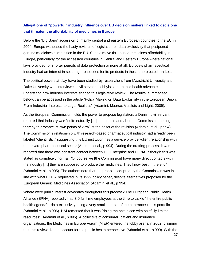## **Allegations of "powerful" industry influence over EU decision makers linked to decisions that threaten the affordability of medicines in Europe**

Before the "Big Bang" accession of mainly central and eastern European countries to the EU in 2004, Europe witnessed the hasty revision of legislation on data exclusivity that postponed generic medicines competition in the EU. Such a move threatened medicines affordability in Europe, particularly for the accession countries in Central and Eastern Europe where national laws provided for shorter periods of data protection or none at all. Europe's pharmaceutical industry had an interest in securing monopolies for its products in these unprotected markets.

The political powers at play have been studied by researchers from Maastricht University and Duke University who interviewed civil servants, lobbyists and public health advocates to understand how industry interests shaped this legislative review. The results, summarised below, can be accessed in the article "Policy Making on Data Exclusivity in the European Union: From Industrial Interests to Legal Realities" (Adamini, Maarse, Versluis and Light, 2009).

As the European Commission holds the power to propose legislation, a Danish civil servant reported that industry was "quite naturally […] keen to aid and abet the Commission, hoping thereby to promote its own points of view" at the onset of the revision (Adamini et al., p 994). The Commission's relationship with research-based pharmaceutical industry had already been labeled "clientilistic," suggesting this EU institution has a service provider-client relationship with the private pharmaceutical sector (Adamini et al., p 994). During the drafting process, it was reported that there was constant contact between DG Enterprise and EFPIA, although this was stated as completely normal: "Of course we [the Commission] have many direct contacts with the industry […] they are supposed to produce the medicines. They know best in the end" (Adamini et al., p 995). The authors note that the proposal adopted by the Commission was in line with what EFPIA requested in its 1999 policy paper, despite alternatives proposed by the European Generic Medicines Association (Adamini et al., p 994).

Where were public interest advocates throughout this process? The European Public Health Alliance (EPHA) reportedly had 3.5 full time employees at the time to tackle "the entire public health agenda" - data exclusivity being a very small sub-set of the pharmaceuticals portfolio (Adamini et al., p 996). HAI remarked that it was "doing the best it can with painfully limited resources" (Adamini et al., p 995). A collective of consumer, patient and insurance organisations, the Medicines in Europe Forum (MiEF) entered the lobby arena in 2002, claiming that this review did not account for the public health perspective (Adamini et al., p 999). With the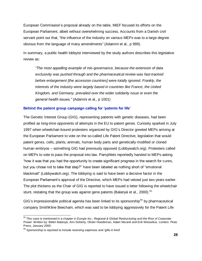European Commission's proposal already on the table, MiEF focused its efforts on the European Parliament, albeit without overwhelming success. Accounts from a Danish civil servant point out that, "the influence of the industry on various MEPs was to a large degree obvious from the language of many amendments" (Adamini et al., p 999).

In summary, a public health lobbyist interviewed by the study authors describes this legislative review as:

*"The most appalling example of mis-governance, because the extension of data exclusivity was pushed through and the pharmaceutical review was fast-tracked before enlargement [the accession countries] were totally ignored. Frankly, the interests of the industry were largely based in countries like France, the United Kingdom, and Germany, prevailed over the wider solidarity issue or even the general health issues."* (Adamini et al., p 1001)

### **Behind the patient group campaign calling for 'patents for life'**

The Genetic Interest Group (GIG), representing patients with genetic diseases, had been profiled as long-time opponents of attempts in the EU to patent genes. Curiosity sparked in July 1997 when wheelchair-bound protesters organized by GIG's Director greeted MEPs arriving at the European Parliament to vote on the so-called Life Patent Directive, legislation that would patent genes, cells, plants, animals, human body parts and genetically modified or cloned human embryos – something GIG had previously opposed (Lobbywatch.org). Protesters called on MEPs to vote to pass the proposal into law. Pamphlets reportedly handed to MEPs asking "how it was that you had the opportunity to create significant progress in the search for cures, but you chose not to take that step?" have been labeled as nothing short of "emotional blackmail" (Lobbywatch.org). The lobbying is said to have been a decisive factor in the European Parliament's approval of the Directive, which MEPs had vetoed just two years earlier. The plot thickens as the Chair of GIG is reported to have issued a letter following the wheelchair stunt, restating that the group was against gene patents (Balanyá et al., 2000). 55

GIG's impressionable political agenda has been linked to its sponsorship<sup>56</sup> by pharmaceutical company SmithKline Beecham, which was said to be lobbying aggressively for the Patent Life

 $\overline{a}$ <sup>55</sup> This case is mentioned in a chapter in *Europe Inc.; Regional & Global Restructuring and the Rise of Corporate Power* Written by: Belén Balanyá, Ann Doherty, Olivier Hoedeman, Adam Ma'anit and Erik Wesselius. London: Pluto Press, January 2000.

<sup>&</sup>lt;sup>56</sup> Sponsorship is reported to include receiving expenses and 'gifts in kind'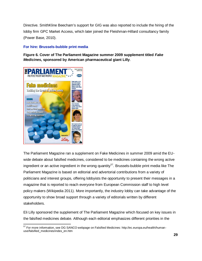Directive. SmithKline Beecham's support for GIG was also reported to include the hiring of the lobby firm GPC Market Access, which later joined the Fleishman-Hillard consultancy family (Power Base, 2010).

## **For hire: Brussels-bubble print media**

**Figure 6. Cover of The Parliament Magazine summer 2009 supplement titled** *Fake Medicines***, sponsored by American pharmaceutical giant Lilly**.



The Parliament Magazine ran a supplement on Fake Medicines in summer 2009 amid the EUwide debate about falsified medicines, considered to be medicines containing the wrong active ingredient or an active ingredient in the wrong quantity<sup>57</sup>. Brussels-bubble print media like The Parliament Magazine is based on editorial and advertorial contributions from a variety of politicians and interest groups, offering lobbyists the opportunity to present their messages in a magazine that is reported to reach everyone from European Commission staff to high level policy makers (Wikipedia 2011). More importantly, the industry lobby can take advantage of the opportunity to show broad support through a variety of editorials written by different stakeholders.

Eli Lilly sponsored the supplement of The Parliament Magazine which focused on key issues in the falsified medicines debate. Although each editorial emphasizes different priorities in the

 $\overline{a}$  $^{57}$  For more information, see DG SANCO webpage on Falsified Medicines: http://ec.europa.eu/health/humanuse/falsified\_medicines/index\_en.htm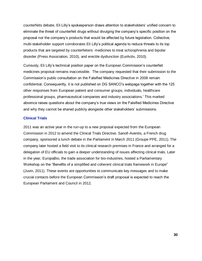counterfeits debate, Eli Lilly's spokesperson draws attention to stakeholders' unified concern to eliminate the threat of counterfeit drugs without divulging the company's specific position on the proposal nor the company's products that would be affected by future legislation. Collective, multi-stakeholder support corroborates Eli Lilly's political agenda to reduce threats to its top products that are targeted by counterfeiters: medicines to treat schizophrenia and bipolar disorder (Press Association, 2010), and erectile dysfunction (EurActiv, 2010).

Curiously, Eli Lilly's technical position paper on the European Commission's counterfeit medicines proposal remains inaccessible. The company requested that their submission to the Commission's public consultation on the Falsified Medicines Directive in 2008 remain confidential. Consequently, it is not published on DG SANCO's webpage together with the 125 other responses from European patient and consumer groups, individuals, healthcare professional groups, pharmaceutical companies and industry associations.<sup>1</sup> This marked absence raises questions about the company's true views on the Falsified Medicines Directive and why they cannot be shared publicly alongside other stakeholders' submissions.

### **Clinical Trials**

2011 was an active year in the run-up to a new proposal expected from the European Commission in 2012 to amend the Clinical Trials Directive. Sanofi-Aventis, a French drug company, sponsored a lunch debate in the Parliament in March 2011 (Groupe PPE, 2011). The company later hosted a field visit to its clinical research premises in France and arranged for a delegation of EU officials to gain a deeper understanding of issues affecting clinical trials. Later in the year, EuropaBio, the trade association for bio-industries, hosted a Parliamentary Workshop on the "Benefits of a simplified and coherent clinical trials framework in Europe" (Juvin, 2011). These events are opportunities to communicate key messages and to make crucial contacts before the European Commission's draft proposal is expected to reach the European Parliament and Council in 2012.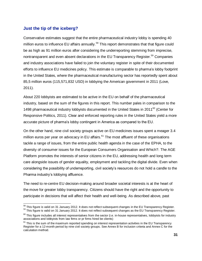## **Just the tip of the iceberg?**

 $\overline{a}$ 

Conservative estimates suggest that the entire pharmaceutical industry lobby is spending 40 million euros to influence EU affairs annually.<sup>58</sup> This report demonstrates that that figure could be as high as 91 million euros after considering the underreporting stemming from imprecise, nontransparent and even absent declarations in the EU Transparency Register.<sup>59</sup> Companies and industry associations have failed to join the voluntary register in spite of their documented efforts to influence EU medicines policy. This estimate is comparable to pharma's lobby footprint in the United States, where the pharmaceutical manufacturing sector has reportedly spent about 85,5 million euros (115,571,832 USD) in lobbying the American government in 2011 (Love, 2011).

About 220 lobbyists are estimated to be active in the EU on behalf of the pharmaceutical industry, based on the sum of the figures in this report. This number pales in comparison to the 1498 pharmaceutical industry lobbyists documented in the United States in 2011 $^{60}$  (Center for Responsive Politics, 2011). Clear and enforced reporting rules in the United States yield a more accurate picture of pharma's lobby contingent in America as compared to the EU.

On the other hand, nine civil society groups active on EU medicines issues spent a meager 3.4 million euros per year on advocacy in EU affairs.<sup>61</sup> The most affluent of these organisations tackle a range of issues, from the entire public health agenda in the case of the EPHA, to the diversity of consumer issues for the European Consumers Organisation and Which?. The AGE Platform promotes the interests of senior citizens in the EU, addressing health and long term care alongside issues of gender equality, employment and tackling the digital divide. Even when considering the possibility of underreporting, civil society's resources do not hold a candle to the Pharma industry's lobbying affluence.

The need to re-centre EU decision-making around broader societal interests is at the heart of the move for greater lobby transparency. Citizens should have the right and the opportunity to participate in decisions that will affect their health and well-being. As described above, past

 $^{58}$  This figure is valid on 31 January 2012. It does not reflect subsequent changes in the EU Transparency Register.

<sup>&</sup>lt;sup>59</sup> This figure is valid on 31 January 2012. It does not reflect subsequent changes as the EU Transparency Register.

 $60$  This figure includes all interest representatives from the sector (i.e. in-house representatives, lobbyists for industry associations and lobbyists from law firms or pr firms hired be clients)

 $61$  This is the sum of the maximum reported spending on interest representation activities in the EU Transparency Register for a 12-month period by nine civil society groups. See Annex B for inclusion criteria and Annex C for the calculation method.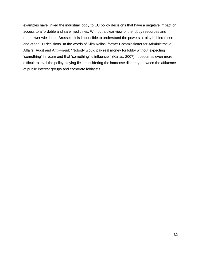examples have linked the industrial lobby to EU policy decisions that have a negative impact on access to affordable and safe medicines. Without a clear view of the lobby resources and manpower wielded in Brussels, it is impossible to understand the powers at play behind these and other EU decisions. In the words of Siim Kallas, former Commissioner for Administrative Affairs, Audit and Anti-Fraud: "Nobody would pay real money for lobby without expecting 'something' in return and that 'something' is influence!" (Kallas, 2007). It becomes even more difficult to level the policy playing field considering the immense disparity between the affluence of public interest groups and corporate lobbyists.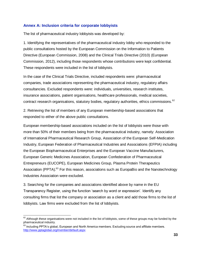## **Annex A: Inclusion criteria for corporate lobbyists**

The list of pharmaceutical industry lobbyists was developed by:

1. Identifying the representatives of the pharmaceutical industry lobby who responded to the public consultations hosted by the European Commission on the Information to Patients Directive (European Commission, 2008) and the Clinical Trials Directive (2010) (European Commission, 2012), including those respondents whose contributions were kept confidential. These respondents were included in the list of lobbyists.

In the case of the Clinical Trials Directive, included respondents were: pharmaceutical companies, trade associations representing the pharmaceutical industry, regulatory affairs consultancies. Excluded respondents were: individuals, universities, research institutes, insurance associations, patient organisations, healthcare professionals, medical societies, contract research organisations, statutory bodies, regulatory authorities, ethics commissions.<sup>62</sup>

2. Retrieving the list of members of any European membership-based associations that responded to either of the above public consultations.

European membership-based associations included on the list of lobbyists were those with more than 50% of their members being from the pharmaceutical industry, namely: Association of International Pharmaceutical Research Group, Association of the European Self-Medication Industry, European Federation of Pharmaceutical Industries and Associations (EFPIA) including the European Biopharmaceutical Enterprises and the European Vaccine Manufacturers, European Generic Medicines Association, European Confederation of Pharmaceutical Entrepreneurs (EUCOPE), European Medicines Group, Plasma Protein Therapeutics Association (PPTA).<sup>63</sup> For this reason, associations such as EuropaBio and the Nanotechnology Industries Association were excluded.

3. Searching for the companies and associations identified above by name in the EU Transparency Register, using the function 'search by word or expression'. Identify any consulting firms that list the company or association as a client and add those firms to the list of lobbyists. Law firms were excluded from the list of lobbyists.

 $\overline{a}$  $62$  Although these organisations were not included in the list of lobbyists, some of these groups may be funded by the pharmaceutical industry.

<sup>&</sup>lt;sup>63</sup> Including PPTA's global, European and North America members. Excluding source and affiliate members. <http://www.pptaglobal.org/member/default.aspx>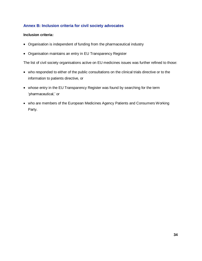## **Annex B: Inclusion criteria for civil society advocates**

#### **Inclusion criteria:**

- Organisation is independent of funding from the pharmaceutical industry
- Organisation maintains an entry in EU Transparency Register

The list of civil society organisations active on EU medicines issues was further refined to those:

- who responded to either of the public consultations on the clinical trials directive or to the information to patients directive, or
- whose entry in the EU Transparency Register was found by searching for the term 'pharmaceutical,' or
- who are members of the European Medicines Agency Patients and Consumers Working Party.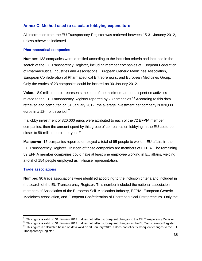## **Annex C: Method used to calculate lobbying expenditure**

All information from the EU Transparency Register was retrieved between 15-31 January 2012, unless otherwise indicated.

#### **Pharmaceutical companies**

**Number**: 133 companies were identified according to the inclusion criteria and included in the search of the EU Transparency Register, including member companies of European Federation of Pharmaceutical Industries and Associations, European Generic Medicines Association, European Confederation of Pharmaceutical Entrepreneurs, and European Medicines Group. Only the entries of 23 companies could be located on 30 January 2012.

**Value**: 18.9 million euros represents the sum of the maximum amounts spent on activities related to the EU Transparency Register reported by 23 companies.<sup>64</sup> According to this data retrieved and computed on 31 January 2012, the average investment per company is 820,000 euros in a 12-month period. $65$ 

If a lobby investment of 820,000 euros were attributed to each of the 72 EFPIA member companies, then the amount spent by this group of companies on lobbying in the EU could be closer to 59 million euros per year.<sup>66</sup>

**Manpower**: 15 companies reported employed a total of 95 people to work in EU affairs in the EU Transparency Register. Thirteen of those companies are members of EFPIA. The remaining 59 EFPIA member companies could have at least one employee working in EU affairs, yielding a total of 154 people employed as in-house representation.

## **Trade associations**

 $\overline{a}$ 

**Number**: 90 trade associations were identified according to the inclusion criteria and included in the search of the EU Transparency Register. This number included the national association members of Association of the European Self-Medication Industry, EFPIA, European Generic Medicines Association, and European Confederation of Pharmaceutical Entrepreneurs. Only the

 $^{64}$  This figure is valid on 31 January 2012. It does not reflect subsequent changes to the EU Transparency Register.

<sup>&</sup>lt;sup>65</sup> This figure is valid on 31 January 2012. It does not reflect subsequent changes as the EU Transparency Register.

<sup>&</sup>lt;sup>66</sup> This figure is calculated based on data valid on 31 January 2012. It does not reflect subsequent changes to the EU Transparency Register.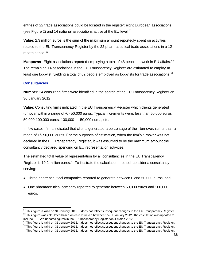entries of 22 trade associations could be located in the register: eight European associations (see Figure 2) and 14 national associations active at the EU level. $67$ 

**Value**: 2.3 million euros is the sum of the maximum amount reportedly spent on activities related to the EU Transparency Register by the 22 pharmaceutical trade associations in a 12 month period.<sup>68</sup>

**Manpower:** Eight associations reported employing a total of 48 people to work in EU affairs. <sup>69</sup> The remaining 14 associations in the EU Transparency Register are estimated to employ at least one lobbyist, yielding a total of 62 people employed as lobbyists for trade associations.<sup>70</sup>

### **Consultancies**

 $\overline{a}$ 

**Number**: 24 consulting firms were identified in the search of the EU Transparency Register on 30 January 2012.

**Value**: Consulting firms indicated in the EU Transparency Register which clients generated turnover within a range of +/- 50,000 euros. Typical increments were: less than 50,000 euros; 50,000-100,000 euros; 100,000 – 150,000 euros, etc.

In few cases, firms indicated that clients generated a percentage of their turnover, rather than a range of +/- 50,000 euros. For the purposes of estimation, when the firm's turnover was not declared in the EU Transparency Register, it was assumed to be the maximum amount the consultancy declared spending on EU representation activities.

The estimated total value of representation by all consultancies in the EU Transparency Register is 19.2 million euros.<sup>71</sup> To illustrate the calculation method, consider a consultancy serving:

- Three pharmaceutical companies reported to generate between 0 and 50,000 euros, and,
- One pharmaceutical company reported to generate between 50,000 euros and 100,000 euros.

 $^{67}$  This figure is valid on 31 January 2012. It does not reflect subsequent changes to the EU Transparency Register.  $68$  This figure was calculated based on data retrieved between 15-31 January 2012. The calculation was updated to include EFPIA's updated figures in the EU Transparency Register on 4 March 2012.

This figure is valid on 31 January 2012. It does not reflect subsequent changes to the EU Transparency Register.

<sup>&</sup>lt;sup>70</sup> This figure is valid on 31 January 2012. It does not reflect subsequent changes to the EU Transparency Register.

 $71$  This figure is valid on 31 January 2012. It does not reflect subsequent changes to the EU Transparency Register.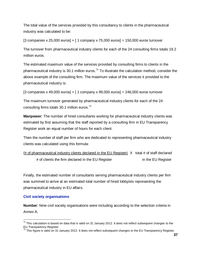The total value of the services provided by this consultancy to clients in the pharmaceutical industry was calculated to be:

[3 companies x 25,000 euros] + [ 1 company x 75,000 euros] = 150,000 euros turnover

The turnover from pharmaceutical industry clients for each of the 24 consulting firms totals 19.2 million euros.

The estimated maximum value of the services provided by consulting firms to clients in the pharmaceutical industry is 30.1 million euros.<sup>72</sup> To illustrate the calculation method, consider the above example of the consulting firm. The maximum value of the services it provided to the pharmaceutical industry is:

[3 companies x 49,000 euros] + [ 1 company x 99,000 euros] = 246,000 euros turnover

The maximum turnover generated by pharmaceutical industry clients for each of the 24 consulting firms totals 30.1 million euros.<sup>73</sup>

**Manpower**: The number of hired consultants working for pharmaceutical industry clients was estimated by first assuming that the staff reported by a consulting firm in EU Transparency Register work an equal number of hours for each client.

Then the number of staff per firm who are dedicated to representing pharmaceutical industry clients was calculated using this formula:

(# of pharmaceutical industry clients declared in the EU Register)  $X$  total # of staff declared # of clients the firm declared in the EU Register in the EU Register

Finally, the estimated number of consultants serving pharmaceutical industry clients per firm was summed to arrive at an estimated total number of hired lobbyists representing the pharmaceutical industry in EU affairs.

## **Civil society organisations**

 $\overline{a}$ 

**Number**: Nine civil society organisations were including according to the selection criteria in Annex A.

 $72$  This calculation is based on data that is valid on 31 January 2012. It does not reflect subsequent changes to the EU Transparency Register.

 $73$  This figure is valid on 31 January 2012. It does not reflect subsequent changes to the EU Transparency Register.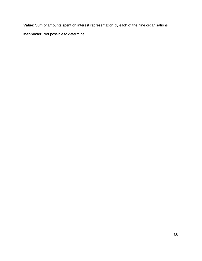**Value**: Sum of amounts spent on interest representation by each of the nine organisations.

**Manpower**: Not possible to determine.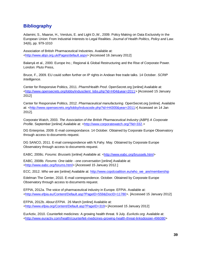## **Bibliography**

Adamini, S., Maarse, H., Versluis, E. and Light D.,W., 2009. Policy Making on Data Exclusivity in the European Union: From Industrial Interests to Legal Realities. *Journal of Health Politics, Policy and Law*. 34(6), pp. 979-1010

Association of British Pharmaceutical Industries. Available at: [<http://www.abpi.org.uk/Pages/default.aspx>](http://www.abpi.org.uk/Pages/default.aspx) [Accessed 16 January 2012]

Balanyá et al., 2000. Europe Inc.; Regional & Global Restructuring and the Rise of Corporate Power. London: Pluto Press,

Bruce, F., 2009. EU could soften further on IP rights in Andean free trade talks. 14 October. *SCRIP Intelligence*.

Center for Responsive Politics, 2011. *Pharm/Health Prod*. OpenSecret.org [online] Available at: [<http://www.opensecrets.org/lobby/indusclient\\_lobs.php?id=H04&year=2011>](http://www.opensecrets.org/lobby/indusclient_lobs.php?id=H04&year=2011) [Accessed 15 January 2012]

Center for Responsive Politics, 2012. *Pharmaceutical manufacturing*. OpenSecret.org [online]. Available at: [<http://www.opensecrets.org/lobby/induscode.php?id=H4300&year=2011>](http://www.opensecrets.org/lobby/induscode.php?id=H4300&year=2011)[ Accessed on 14 Jan 2012].

Corporate Watch, 2003. *The Association of the British Pharmaceutical Industry (ABPI) A Corporate Profile*. September [online] Available at: [<http://www.corporatewatch.org/?lid=332.](http://www.corporatewatch.org/?lid=332)>

DG Enterprise, 2009. E-mail correspondance. 14 October. Obtained by Corporate Europe Observatory through access to documents request.

DG SANCO, 2011. E-mail correspondence with N.Fahy. May. Obtained by Corporate Europe Observatory through access to documents request.

EABC, 2008c. *Forums: Brussels* [online] Available at: [<http://www.eabc.org/brussels.html>](http://www.eabc.org/brussels.html)

EABC, 2008b. *Forums: One table - one conversation* [online] Available at: [<http://www.eabc.org/forums.html>](http://www.eabc.org/forums.html) [Accessed 15 January 2012.]

ECC, 2012. *Who we* are [online] Available at: [http://www.copdcoalition.eu/who\\_we\\_are/membership](http://www.copdcoalition.eu/who_we_are/membership)

Edelman The Center, 2010. E-mail correspondence. October. Obtained by Corporate Europe Observatory through access to documents request.

EFPIA, 2012a. The voice of pharmaceutical industry in Europe. EFPIA. Available at: [<http://www.efpia.eu/Content/Default.asp?PageID=559&DocID=11780>](http://www.efpia.eu/Content/Default.asp?PageID=559&DocID=11780). [Accessed 15 January 2012]

EFPIA, 2012b. *About EFPIA*. 26 March [online] Available at: [<http://www.efpia.org/Content/Default.asp?PageID=319>](http://www.efpia.org/Content/Default.asp?PageID=319) [Accessed 15 January 2012]

EurActiv, 2010. Counterfeit medicines: A growing health threat. 9 July. *EurActiv.org*. Available at: [<http://www.euractiv.com/health/counterfeit-medicines-growing-health-threat-linksdossier-496080>](http://www.euractiv.com/health/counterfeit-medicines-growing-health-threat-linksdossier-496080)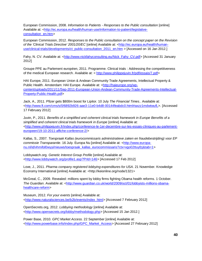European Commission, 2008. *Information to Patients - Responses to the Public consultation* [online] Available at: [<http://ec.europa.eu/health/human-use/information-to-patient/legislative](http://ec.europa.eu/health/human-use/information-to-patient/legislative-consultation_en.htm)[consultation\\_en.htm>](http://ec.europa.eu/health/human-use/information-to-patient/legislative-consultation_en.htm)

European Commission, 2012. *Responses to the Public consultation on the concept paper on the Revision of the 'Clinical Trials Directive' 2001/20/EC* [online] Available at: [<http://ec.europa.eu/health/human](http://ec.europa.eu/health/human-use/clinical-trials/developments/ct_public-consultation_2011_en.htm)[use/clinical-trials/developments/ct\\_public-consultation\\_2011\\_en.htm](http://ec.europa.eu/health/human-use/clinical-trials/developments/ct_public-consultation_2011_en.htm) > [Accessed on 16 Jan 2012.]

Fahy, N. CV. Available at: [<http://www.nickfahyconsulting.eu/Nick\\_Fahy\\_CV.pdf>](http://www.nickfahyconsulting.eu/Nick_Fahy_CV.pdf) [Accessed 31 January 2012]

Groupe PPE au Parlement européen, 2011. Programme. Clinical trials : Addressing the competitiveness of the medical European research. Available at: < [http://www.philippejuvin.fr/pdf/essais/7.pdf>](http://www.philippejuvin.fr/pdf/essais/7.pdf)

HAI Europe, 2011. European Union & Andean Community Trade Agreements, Intellectual Property & Public Health. Amsterdam: HAI Europe. Available at: [<http://haieurope.org/wp](http://haieurope.org/wp-content/uploads/2011/11/Sep-2011-European-Union-Andean-Community-Trade-Agreements-Intellectual-Property-Public-Health.pdf)[content/uploads/2011/11/Sep-2011-European-Union-Andean-Community-Trade-Agreements-Intellectual-](http://haieurope.org/wp-content/uploads/2011/11/Sep-2011-European-Union-Andean-Community-Trade-Agreements-Intellectual-Property-Public-Health.pdf)[Property-Public-Health.pdf>](http://haieurope.org/wp-content/uploads/2011/11/Sep-2011-European-Union-Andean-Community-Trade-Agreements-Intellectual-Property-Public-Health.pdf)

Jack, A., 2011. Pfizer gets \$800m boost for Lipitor. 10 July *The Financial Times.*. Available at: [<http://www.ft.com/cms/s/0/6892b926-aae3-11e0-b4d8-00144feabdc0.html#axzz1mdwtwufL>](http://www.ft.com/cms/s/0/6892b926-aae3-11e0-b4d8-00144feabdc0.html#axzz1mdwtwufL). [Accessed 17 February 2012]

Juvin, P., 2011. *Benefits of a simplified and coherent clinical trials framework in Europe Benefits of a*  simplified and coherent clinical trials framework in Europe [online] Available at: [<http://www.philippejuvin.fr/index.php/conference-le-1er-decembre-sur-les-essais-cliniques-au-parlement](http://www.philippejuvin.fr/index.php/conference-le-1er-decembre-sur-les-essais-cliniques-au-parlement-europeen/19-10-2011-affiche-conference-2/)[europeen/19-10-2011-affiche-conference-2/>](http://www.philippejuvin.fr/index.php/conference-le-1er-decembre-sur-les-essais-cliniques-au-parlement-europeen/19-10-2011-affiche-conference-2/)

Kallas, S., 2007. *Toespraak Kallas (eurocommissaris administratieve zaken en fraudebestrijding) voor EP commissie Transparantie*. 16 July. Europa Nu [online] Available at: [<http://www.europa](http://www.europa-nu.nl/id/vhmifol0wyyi/nieuws/toespraak_kallas_eurocommissaris?ctx=vgo02ttuyfzj&tab=1)[nu.nl/id/vhmifol0wyyi/nieuws/toespraak\\_kallas\\_eurocommissaris?ctx=vgo02ttuyfzj&tab=1>](http://www.europa-nu.nl/id/vhmifol0wyyi/nieuws/toespraak_kallas_eurocommissaris?ctx=vgo02ttuyfzj&tab=1)

Lobbywatch.org. *Genetic Interest Group Profile* [online] Available at: [<http://www.lobbywatch.org/profile1.asp?PrId=146>](http://www.lobbywatch.org/profile1.asp?PrId=146) [Accessed 17 Feb 2012]

Love, J., 2011. *Pharma company registered lobbying expenditures for USA*. 21 November. Knowledge Economy International [online] Available at: <http://keionline.org/node/1321>

McGreal, C., 2009. Revealed: millions spent by lobby firms fighting Obama health reforms. 1 October. *The Guardian*. Available at: [<http://www.guardian.co.uk/world/2009/oct/01/lobbyists-millions-obama](http://www.guardian.co.uk/world/2009/oct/01/lobbyists-millions-obama-healthcare-reform)[healthcare-reform>](http://www.guardian.co.uk/world/2009/oct/01/lobbyists-millions-obama-healthcare-reform)

Museum, 2012. *For your events* [online] Available at: [<http://www.naturalsciences.be/b2b/events/index\\_html>](http://www.naturalsciences.be/b2b/events/index_html) [Accessed 7 February 2012]

OpenSecrets.org, 2012. *Lobbying methodology* [online] Available at: [<http://www.opensecrets.org/lobby/methodology.php>](http://www.opensecrets.org/lobby/methodology.php) [Accessed 15 Jan 2012.]

Power Base, 2010. *GPC Market Access.* 22 September [online] Available at: [<http://www.powerbase.info/index.php/GPC\\_Market\\_Access>](http://www.powerbase.info/index.php/GPC_Market_Access) [Accessed 27 February 2012]